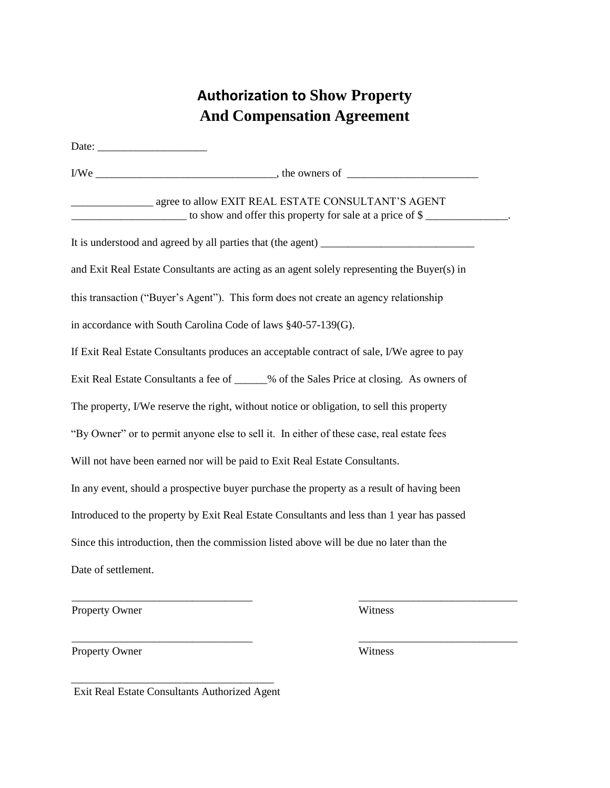## **Authorization to Show Property And Compensation Agreement**

Date: I/We \_\_\_\_\_\_\_\_\_\_\_\_\_\_\_\_\_\_\_\_\_\_\_\_\_\_\_\_\_\_\_\_\_, the owners of \_\_\_\_\_\_\_\_\_\_\_\_\_\_\_\_\_\_\_\_\_\_\_\_ \_\_\_\_\_\_\_\_\_\_\_\_\_\_\_ agree to allow EXIT REAL ESTATE CONSULTANT'S AGENT  $\Box$  to show and offer this property for sale at a price of  $\$\underline{\hspace{1cm}}\underline{\hspace{1cm}}$ . It is understood and agreed by all parties that (the agent) \_\_\_\_\_\_\_\_\_\_\_\_\_\_\_\_\_\_\_\_\_ and Exit Real Estate Consultants are acting as an agent solely representing the Buyer(s) in this transaction ("Buyer's Agent"). This form does not create an agency relationship in accordance with South Carolina Code of laws §40-57-139(G). If Exit Real Estate Consultants produces an acceptable contract of sale, I/We agree to pay Exit Real Estate Consultants a fee of \_\_\_\_\_\_% of the Sales Price at closing. As owners of The property, I/We reserve the right, without notice or obligation, to sell this property "By Owner" or to permit anyone else to sell it. In either of these case, real estate fees Will not have been earned nor will be paid to Exit Real Estate Consultants. In any event, should a prospective buyer purchase the property as a result of having been Introduced to the property by Exit Real Estate Consultants and less than 1 year has passed Since this introduction, then the commission listed above will be due no later than the Date of settlement.

\_\_\_\_\_\_\_\_\_\_\_\_\_\_\_\_\_\_\_\_\_\_\_\_\_\_\_\_\_\_\_\_\_ \_\_\_\_\_\_\_\_\_\_\_\_\_\_\_\_\_\_\_\_\_\_\_\_\_\_\_\_\_

\_\_\_\_\_\_\_\_\_\_\_\_\_\_\_\_\_\_\_\_\_\_\_\_\_\_\_\_\_\_\_\_\_ \_\_\_\_\_\_\_\_\_\_\_\_\_\_\_\_\_\_\_\_\_\_\_\_\_\_\_\_\_

Property Owner Witness

Property Owner Witness

\_\_\_\_\_\_\_\_\_\_\_\_\_\_\_\_\_\_\_\_\_\_\_\_\_\_\_\_\_\_\_\_\_\_\_\_\_ Exit Real Estate Consultants Authorized Agent